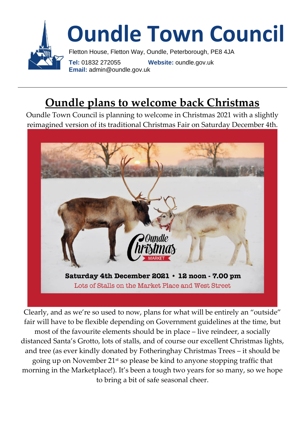

#### **Oundle plans to welcome back Christmas**

Oundle Town Council is planning to welcome in Christmas 2021 with a slightly reimagined version of its traditional Christmas Fair on Saturday December 4th.



Clearly, and as we're so used to now, plans for what will be entirely an "outside" fair will have to be flexible depending on Government guidelines at the time, but most of the favourite elements should be in place – live reindeer, a socially distanced Santa's Grotto, lots of stalls, and of course our excellent Christmas lights, and tree (as ever kindly donated by Fotheringhay Christmas Trees – it should be going up on November 21st so please be kind to anyone stopping traffic that morning in the Marketplace!). It's been a tough two years for so many, so we hope to bring a bit of safe seasonal cheer.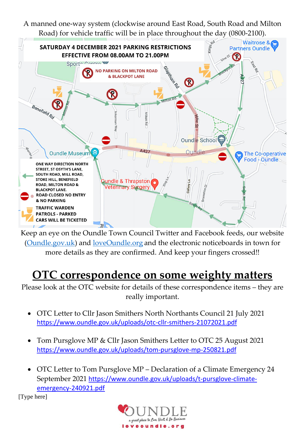A manned one-way system (clockwise around East Road, South Road and Milton



Keep an eye on the Oundle Town Council Twitter and Facebook feeds, our website [\(Oundle.gov.uk\)](http://oundle.gov.uk/) and [loveOundle.org](http://loveoundle.org/) and the electronic noticeboards in town for more details as they are confirmed. And keep your fingers crossed!!

#### **OTC correspondence on some weighty matters**

Please look at the OTC website for details of these correspondence items – they are really important.

- OTC Letter to Cllr Jason Smithers North Northants Council 21 July 2021 <https://www.oundle.gov.uk/uploads/otc-cllr-smithers-21072021.pdf>
- Tom Pursglove MP & Cllr Jason Smithers Letter to OTC 25 August 2021 <https://www.oundle.gov.uk/uploads/tom-pursglove-mp-250821.pdf>
- OTC Letter to Tom Pursglove MP Declaration of a Climate Emergency 24 September 2021 [https://www.oundle.gov.uk/uploads/t-pursglove-climate](https://www.oundle.gov.uk/uploads/t-pursglove-climate-emergency-240921.pdf)[emergency-240921.pdf](https://www.oundle.gov.uk/uploads/t-pursglove-climate-emergency-240921.pdf)

[Type here]

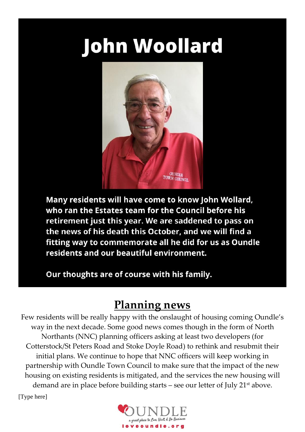# **John Woollard**



Many residents will have come to know John Wollard, who ran the Estates team for the Council before his retirement just this year. We are saddened to pass on the news of his death this October, and we will find a fitting way to commemorate all he did for us as Oundle residents and our beautiful environment.

Our thoughts are of course with his family.

#### **Planning news**

Few residents will be really happy with the onslaught of housing coming Oundle's way in the next decade. Some good news comes though in the form of North Northants (NNC) planning officers asking at least two developers (for Cotterstock/St Peters Road and Stoke Doyle Road) to rethink and resubmit their initial plans. We continue to hope that NNC officers will keep working in partnership with Oundle Town Council to make sure that the impact of the new housing on existing residents is mitigated, and the services the new housing will demand are in place before building starts – see our letter of July 21<sup>st</sup> above.

[Type here]